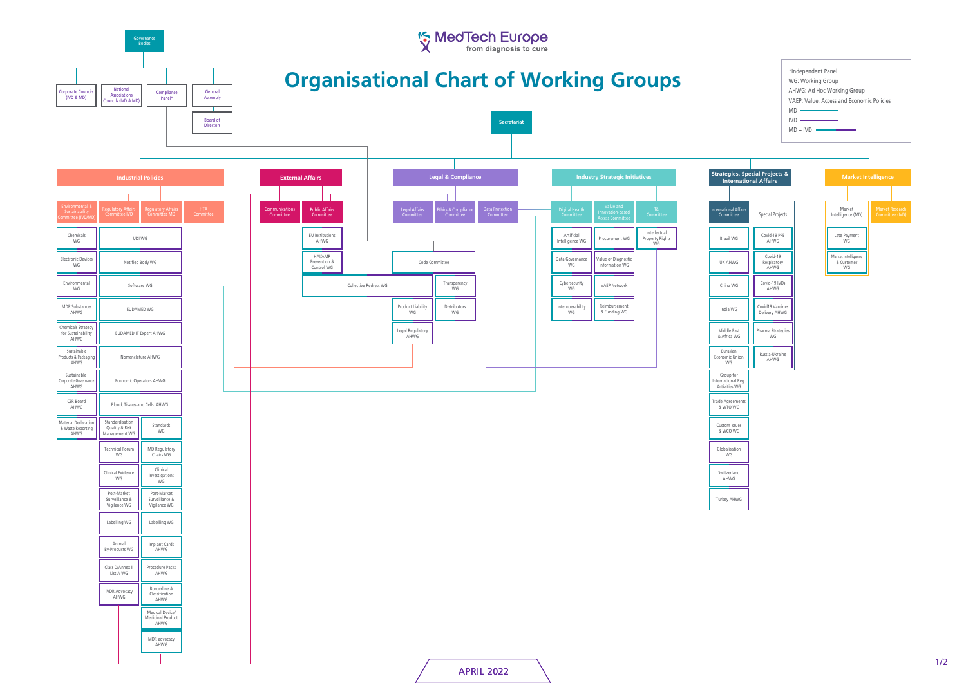